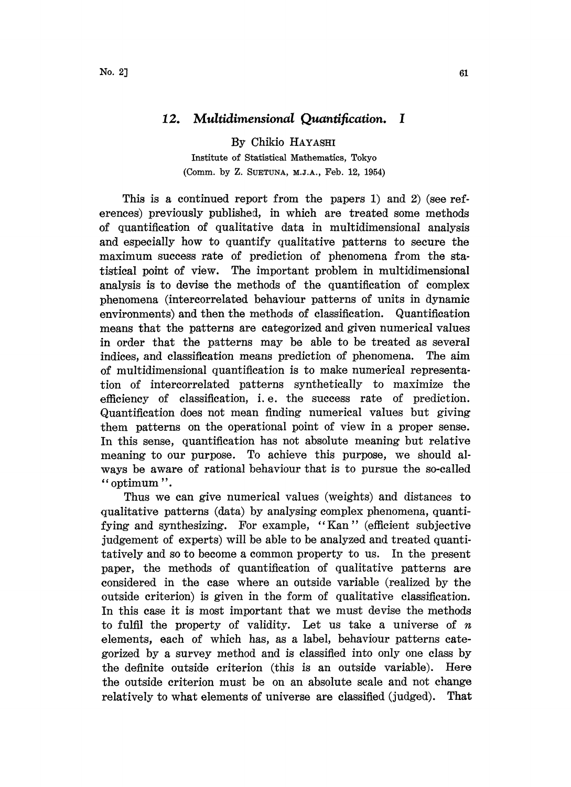## 12. Multidimensional Quantification. I

By Chikio HAYASHI

Institute of Statistical Mathematics, Tokyo (Comm. by Z. SUETUNA, M.J.A., Feb. 12, 1954)

This is a continued report from the papers 1) and 2) (see references) previously published, in which are treated some methods of quantification of qualitative data in multidimensional analysis and especially how to quantify qualitative patterns to secure the maximum success rate of prediction of phenomena from the statistical point of view. The important problem in multidimensional analysis is to devise the methods of the quantification of complex phenomena (intercorrelated behaviour patterns of units in dynamic environments) and then the methods of classification. Quantification means that the patterns are categorized and given numerical values in order that the patterns may be able to be treated as several indices, and classification means prediction of phenomena. The aim of multidimensional quantification is to make numerical representation of intercorrelated patterns synthetically to maximize the efficiency of classification, i.e. the success rate of prediction. Quantification does not mean finding numerical values but giving them patterns on the operational point of view in a proper sense. In this sense, quantification has not absolute meaning but relative meaning to our purpose. To achieve this purpose, we should always be aware of rational behaviour that is to pursue the so-called " optimum".

Thus we can give numerical values (weights) and distances to qualitative patterns (data) by analysing complex phenomena, quantifying and synthesizing. For example, "Kan" (efficient subjective judgement of experts) will be able to be analyzed and treated quantitatively and so to become a common property to us. In the present paper, the methods of quantification of qualitative patterns are considered in the case where an outside variable (realized by the outside criterion) is given in the form of qualitative classification. In this case it is most important that we must devise the methods to fulfil the property of validity. Let us take a universe of  $n$ elements, each of which has, as a label, behaviour patterns categorized by a survey method and is classified into only one class by the definite outside criterion (this is an outside variable). Here he outside criterion must be on an absolute scale and not change relatively to what elements of universe are classified (judged). That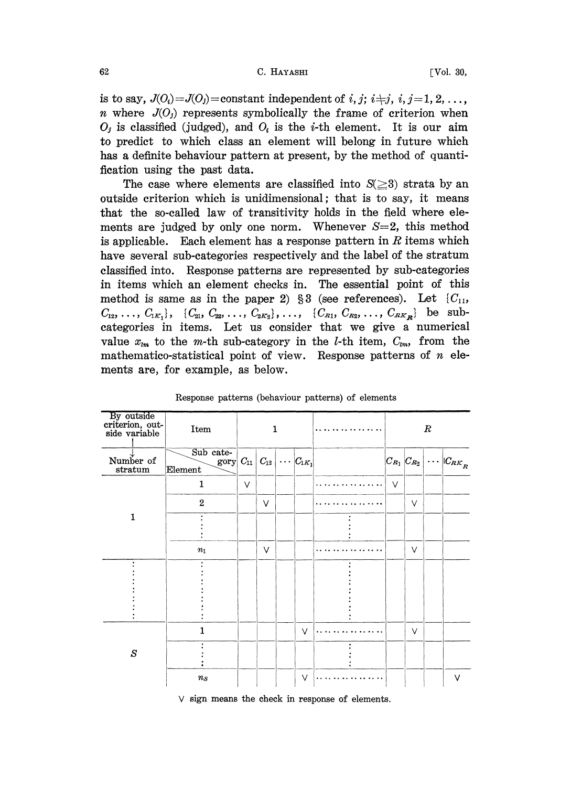## 62 C. HAYASHI [Vol. 30,

is to say,  $J(O_i) = J(O_j) = constant$  independent of i, j; i $\neq j$ , i, j=1, 2, ... n where  $J(O_j)$  represents symbolically the frame of criterion when  $O_j$  is classified (judged), and  $O_i$  is the *i*-th element. It is our aim to predict to which class an element will belong in future which has a definite behaviour pattern at present, by the method of quantification using the past data.

The case where elements are classified into  $S(\geq 3)$  strata by an outside criterion which is unidimensional; that is to say, it means that the so-called law of transitivity holds in the field where elements are judged by only one norm. Whenever  $S=2$ , this method is applicable. Each element has a response pattern in  $R$  items which have several sub-categories respectively and the label of the stratum classified into. Response patterns are represented by sub-categories in items which an element checks in. The essential point of this method is same as in the paper 2) § 3 (see references). Let  $\{C_{11},$  $C_{12}, \ldots, C_{1K_1}$ ,  $\{C_{21}, C_{22}, \ldots, C_{2K_2}\}, \ldots, \{C_{R1}, C_{R2}, \ldots, C_{RK_R}\}\$ be subcategories in items. Let us consider that we give a numerical value  $x_{im}$  to the m-th sub-category in the *l*-th item,  $C_{im}$ , from the mathematico-statistical point of view. Response patterns of  $n$  elements are, for example, as below.

| By outside<br>criterion, out-<br>side variable | Item                                                                                                                                            | 1 |   |  |        | $\boldsymbol{R}$ |        |  |                                                                          |
|------------------------------------------------|-------------------------------------------------------------------------------------------------------------------------------------------------|---|---|--|--------|------------------|--------|--|--------------------------------------------------------------------------|
| Number of<br>stratum                           | Sub cate-<br>$\left\vert \mathrm{gory}\right\vert C_{11}\left\vert \text{ }C_{12}\right\vert \cdots\left\vert C_{1K_{1}}\right\vert$<br>Element |   |   |  |        |                  |        |  | $\left C_{R_1}\left C_{R_2}\right  \cdots \left C_{R K_R}\right \right $ |
|                                                | 1                                                                                                                                               | V |   |  |        | $\vee$           |        |  |                                                                          |
|                                                | $\overline{2}$                                                                                                                                  |   | V |  |        |                  | $\vee$ |  |                                                                          |
|                                                |                                                                                                                                                 |   |   |  |        |                  |        |  |                                                                          |
|                                                | $n_1$                                                                                                                                           |   | V |  |        |                  | V      |  |                                                                          |
|                                                |                                                                                                                                                 |   |   |  |        |                  |        |  |                                                                          |
|                                                |                                                                                                                                                 |   |   |  |        |                  |        |  |                                                                          |
|                                                |                                                                                                                                                 |   |   |  |        |                  |        |  |                                                                          |
| $\boldsymbol{S}$                               |                                                                                                                                                 |   |   |  | $\vee$ |                  | $\vee$ |  |                                                                          |
|                                                |                                                                                                                                                 |   |   |  |        |                  |        |  |                                                                          |
|                                                | $n_S$                                                                                                                                           |   |   |  | $\vee$ |                  |        |  | $\vee$                                                                   |

Response patterns (behaviour patterns) of elements

V sign means the check in response of elements.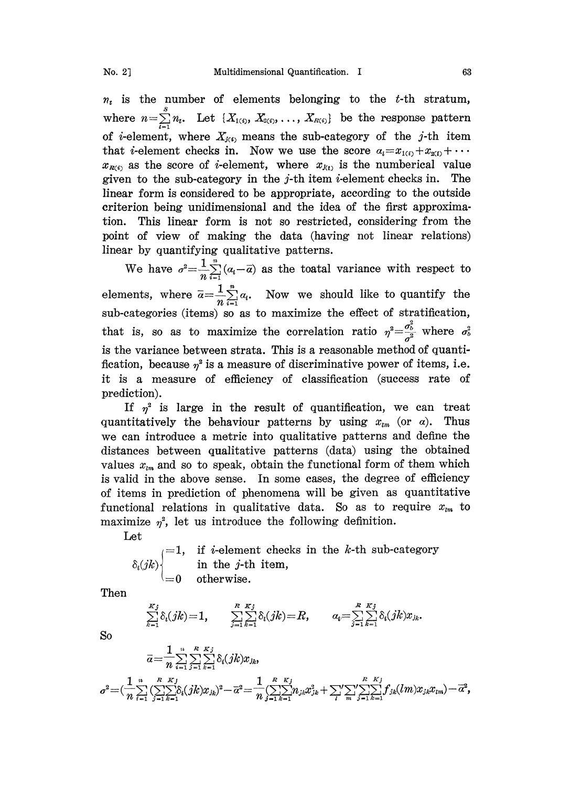$n_t$  is the number of elements belonging to the t-th stratum, where  $n=\sum_{i=1}^S n_i$ . Let  $\{X_{1(i)}, X_{2(i)}, \ldots, X_{R(i)}\}$  be the response pattern of *i*-element, where  $X_{j(i)}$  means the sub-category of the j-th item that *i*-element checks in. Now we use the score  $a_i = x_{1(i)} + x_{2(i)} + \cdots$  $x_{R(i)}$  as the score of *i*-element, where  $x_{k(i)}$  is the numberical value given to the sub-category in the j-th item *i*-element checks in. The linear form is considered to be appropriate, according to the outside criterion being unidimensional and the idea of the first approximation. This linear form is not so restricted, considering from the point of view of making the data (having not linear relations) linear by quantifying qualitative patterns.

We have  $\sigma^2 = \frac{1}{n} \sum_{i=1}^{n} (a_i - \overline{a})$  as the toatal variance with respect to elements, where  $\bar{a}=\frac{1}{n}\sum_{i=1}^{n}a_i$ . Now we should like to quantify the sub-categories (items) so as to maximize the effect of stratification, that is, so as to maximize the correlation ratio  $\eta^2 = \frac{\sigma_b^2}{\sigma_a^2}$  where  $\sigma_b^2$ is the variance between strata. This is a reasonable method of quantification, because  $\eta^2$  is a measure of discriminative power of items, i.e. it is a measure of efficiency of classification (success rate of prediction).

If  $\eta^2$  is large in the result of quantification, we can treat quantitatively the behaviour patterns by using  $x_{im}$  (or  $\alpha$ ). Thus we can introduce a metric into qualitative patterns and define the distances between qualitative patterns (data) using the obtained values  $x_{im}$  and so to speak, obtain the functional form of them which s valid in the above sense. In some cases, the degree of efficiency of items in prediction of phenomena will be given as quantitative functional relations in qualitative data. So as to require  $x_{im}$  to maximize  $\eta^2$ , let us introduce the following definition.

Let

 $=1$ , if *i*-element checks in the *k*-th sub-category  $\delta_i(jk)$  in the j-th item,  $=0$  otherwise.

Then

$$
\sum_{k=1}^{Kj} \delta_i(jk) = 1, \qquad \sum_{j=1}^{R} \sum_{k=1}^{Kj} \delta_i(jk) = R, \qquad a_i = \sum_{j=1}^{R} \sum_{k=1}^{Kj} \delta_i(jk)x_{jk}.
$$

So

$$
\bar{a} = \frac{1}{n} \sum_{i=1}^{n} \sum_{j=1}^{R} \sum_{k=1}^{Kj} \delta_{i}(jk)x_{jk},
$$
\n
$$
\sigma^{2} = (\frac{1}{n} \sum_{i=1}^{n} \sum_{j=1}^{R} \sum_{k=1}^{Kj} \delta_{i}(jk)x_{jk})^{2} - \bar{\alpha}^{2} = \frac{1}{n} \sum_{j=1}^{R} \sum_{k=1}^{Kj} \eta_{jk}x_{jk}^{2} + \sum_{i}^{N} \sum_{m}^{N} \sum_{j=1}^{N} \sum_{k=1}^{Kj} f_{jk}(lm)x_{jk}x_{lm}) - \bar{\alpha}^{2},
$$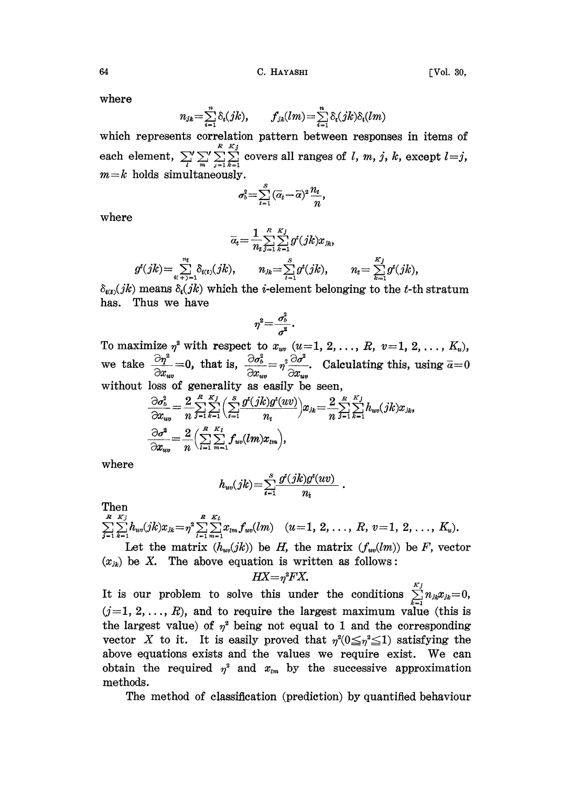where

$$
n_{jk} = \sum_{i=1}^n \delta_i(jk), \qquad f_{jk}(lm) = \sum_{i=1}^n \delta_i(jk)\delta_i(lm)
$$

which represents correlation pattern between responses in items of each element,  $\sum_{i} \sum_{m} \sum_{j=1}^{R} \sum_{k=1}^{K_j}$  covers all ranges of l, m, j, k, except  $l=j$ ,  $m=k$  holds simultaneously.

$$
\sigma_b^2 = \sum_{t=1}^S (\overline{a}_t - \overline{a})^2 \frac{n_t}{n},
$$

where

$$
\overline{a}_{t} = \frac{1}{n_{t}} \sum_{j=1}^{R} \sum_{k=1}^{K} g^{t}(jk)x_{jk},
$$

$$
g^{t}(jk) = \sum_{k=1}^{n_{t}} \delta_{i(t)}(jk), \qquad n_{jk} = \sum_{i=1}^{S} g^{t}(jk), \qquad n_{t} = \sum_{k=1}^{K} g^{t}(jk)
$$

 $\delta_{(i)}(jk)$  means  $\delta_i(jk)$  which the *i*-element belonging to the t-th stratum has. Thus we have

$$
\eta^2 = \frac{\sigma_b^2}{\sigma^2}.
$$

To maximize  $\eta^2$  with respect to  $x_{uv}$  ( $u=1, 2, \ldots, R$ ,  $v=1, 2, \ldots, K_u$ ), we take  $\frac{\partial \eta^2}{\partial x^2}$ ize  $\eta^2$  with respect to  $x_{uv}$   $(u=1, 2, ..., R, v=1, 2, ..., K_u)$ ,<br>  $\frac{\partial \eta^2}{\partial x_{uv}} = 0$ , that is,  $\frac{\partial \sigma_b^2}{\partial x_{uv}} = \eta^2 \frac{\partial \sigma^2}{\partial x_{uv}}$ . Calculating this, using  $\overline{\alpha} = 0$ without loss of generality as easily be seen.

$$
\frac{\partial \sigma_b^2}{\partial x_{uv}} = \frac{2}{n} \sum_{j=1}^R \sum_{k=1}^{K_j} \left( \sum_{t=1}^S \frac{g^t(jk)g^t(uv)}{n_t} \right) x_{jk} = \frac{2}{n} \sum_{j=1}^R \sum_{k=1}^{K_j} h_{uv}(jk) x_{jk},
$$

$$
\frac{\partial \sigma^2}{\partial x_{uv}} = \frac{2}{n} \left( \sum_{l=1}^R \sum_{m=1}^{K_l} f_{uv}(lm) x_{lm} \right),
$$

where

$$
h_{uv}(jk) = \sum_{i=1}^s \frac{g^i(jk)g^i(uv)}{n_i}
$$

Then<br>  $\sum_{j=1}^{R} \sum_{k=1}^{K_j} h_{uv}(jk)x_{jk} = \eta^2 \sum_{i=1}^{R} \sum_{m=1}^{K_l} x_{im} f_{uv}(lm) \quad (u=1, 2, ..., R, v=1, 2, ..., K_u).$ 

Let the matrix  $(h_{uv}(jk))$  be H, the matrix  $(f_{uv}(lm))$  be F, vector  $(x_{jk})$  be X. The above equation is written as follows:

$$
HX = \eta^2 FX.
$$

It is our problem to solve this under the conditions  $(j=1, 2, \ldots, R)$ , and to require the largest maximum value (this is the largest value) of  $\eta^2$  being not equal to 1 and the corresponding vector X to it. It is easily proved that  $\eta^2(0\leq\eta^2\leq 1)$  satisfying the above equations exists and the values we require exist. We can obtain the required  $\eta^2$  and  $x_{\ell m}$  by the successive approximation methods.

The method of classification (prediction) by quantified behaviour